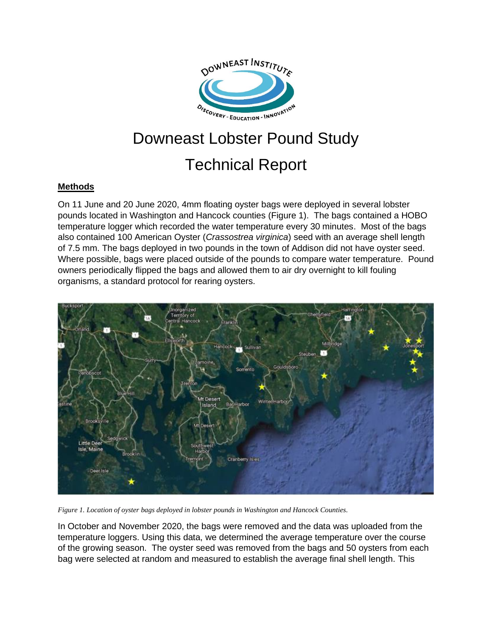

# Downeast Lobster Pound Study Technical Report

#### **Methods**

On 11 June and 20 June 2020, 4mm floating oyster bags were deployed in several lobster pounds located in Washington and Hancock counties (Figure 1). The bags contained a HOBO temperature logger which recorded the water temperature every 30 minutes. Most of the bags also contained 100 American Oyster (*Crassostrea virginica*) seed with an average shell length of 7.5 mm. The bags deployed in two pounds in the town of Addison did not have oyster seed. Where possible, bags were placed outside of the pounds to compare water temperature. Pound owners periodically flipped the bags and allowed them to air dry overnight to kill fouling organisms, a standard protocol for rearing oysters.



*Figure 1. Location of oyster bags deployed in lobster pounds in Washington and Hancock Counties.*

In October and November 2020, the bags were removed and the data was uploaded from the temperature loggers. Using this data, we determined the average temperature over the course of the growing season. The oyster seed was removed from the bags and 50 oysters from each bag were selected at random and measured to establish the average final shell length. This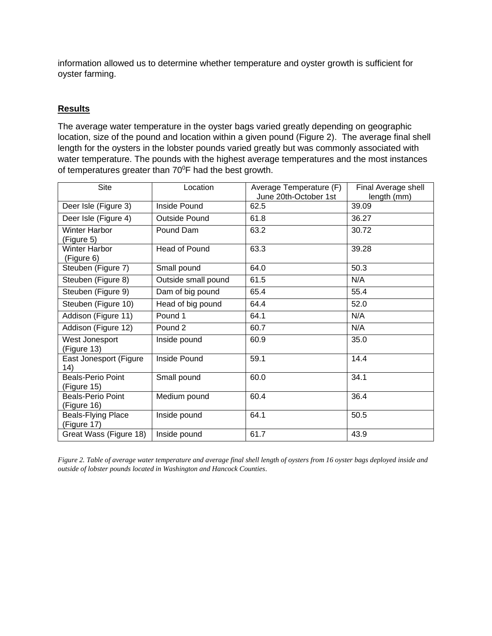information allowed us to determine whether temperature and oyster growth is sufficient for oyster farming.

### **Results**

The average water temperature in the oyster bags varied greatly depending on geographic location, size of the pound and location within a given pound (Figure 2). The average final shell length for the oysters in the lobster pounds varied greatly but was commonly associated with water temperature. The pounds with the highest average temperatures and the most instances of temperatures greater than  $70^{\circ}$ F had the best growth.

| <b>Site</b>                              | Location             | Average Temperature (F)<br>June 20th-October 1st | Final Average shell<br>length (mm) |
|------------------------------------------|----------------------|--------------------------------------------------|------------------------------------|
| Deer Isle (Figure 3)                     | Inside Pound         | 62.5                                             | 39.09                              |
| Deer Isle (Figure 4)                     | <b>Outside Pound</b> | 61.8                                             | 36.27                              |
| <b>Winter Harbor</b><br>(Figure 5)       | Pound Dam            | 63.2                                             | 30.72                              |
| <b>Winter Harbor</b><br>(Figure 6)       | Head of Pound        | 63.3                                             | 39.28                              |
| Steuben (Figure 7)                       | Small pound          | 64.0                                             | 50.3                               |
| Steuben (Figure 8)                       | Outside small pound  | 61.5                                             | N/A                                |
| Steuben (Figure 9)                       | Dam of big pound     | 65.4                                             | 55.4                               |
| Steuben (Figure 10)                      | Head of big pound    | 64.4                                             | 52.0                               |
| Addison (Figure 11)                      | Pound 1              | 64.1                                             | N/A                                |
| Addison (Figure 12)                      | Pound <sub>2</sub>   | 60.7                                             | N/A                                |
| West Jonesport<br>(Figure 13)            | Inside pound         | 60.9                                             | 35.0                               |
| East Jonesport (Figure<br>(14)           | Inside Pound         | 59.1                                             | 14.4                               |
| Beals-Perio Point<br>(Figure 15)         | Small pound          | 60.0                                             | 34.1                               |
| <b>Beals-Perio Point</b><br>(Figure 16)  | Medium pound         | 60.4                                             | 36.4                               |
| <b>Beals-Flying Place</b><br>(Figure 17) | Inside pound         | 64.1                                             | 50.5                               |
| Great Wass (Figure 18)                   | Inside pound         | 61.7                                             | 43.9                               |

*Figure 2. Table of average water temperature and average final shell length of oysters from 16 oyster bags deployed inside and outside of lobster pounds located in Washington and Hancock Counties.*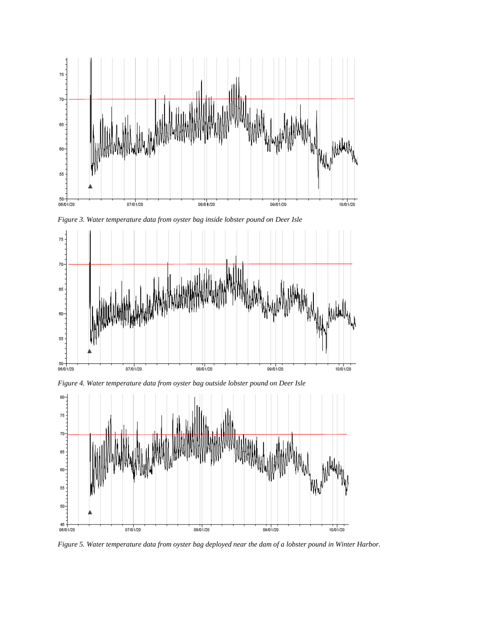

*Figure 3. Water temperature data from oyster bag inside lobster pound on Deer Isle*





*Figure 5. Water temperature data from oyster bag deployed near the dam of a lobster pound in Winter Harbor.*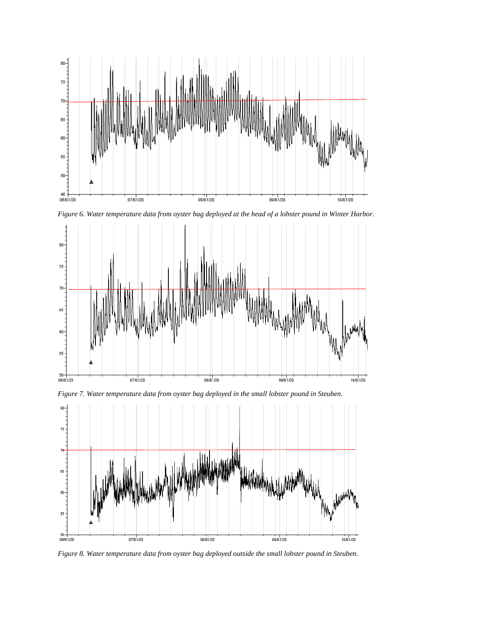

*Figure 6. Water temperature data from oyster bag deployed at the head of a lobster pound in Winter Harbor.*





*Figure 7. Water temperature data from oyster bag deployed in the small lobster pound in Steuben.*

*Figure 8. Water temperature data from oyster bag deployed outside the small lobster pound in Steuben.*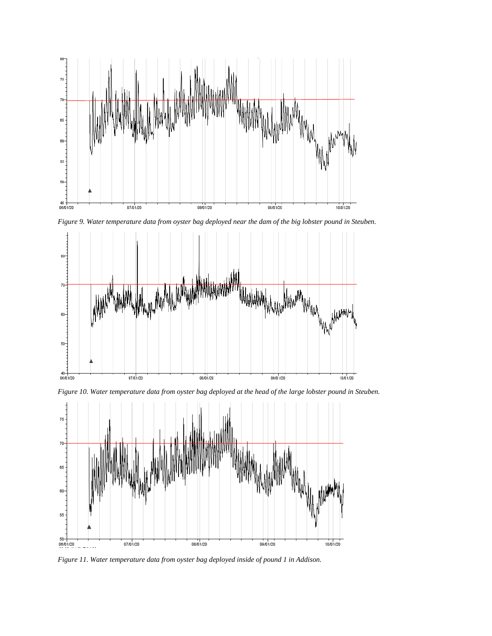

*Figure 9. Water temperature data from oyster bag deployed near the dam of the big lobster pound in Steuben.*



*Figure 10. Water temperature data from oyster bag deployed at the head of the large lobster pound in Steuben.*



*Figure 11. Water temperature data from oyster bag deployed inside of pound 1 in Addison.*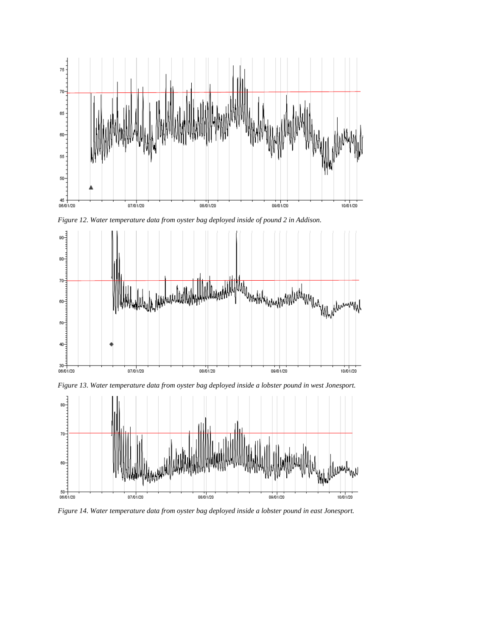

*Figure 12. Water temperature data from oyster bag deployed inside of pound 2 in Addison.*



*Figure 13. Water temperature data from oyster bag deployed inside a lobster pound in west Jonesport.*



*Figure 14. Water temperature data from oyster bag deployed inside a lobster pound in east Jonesport.*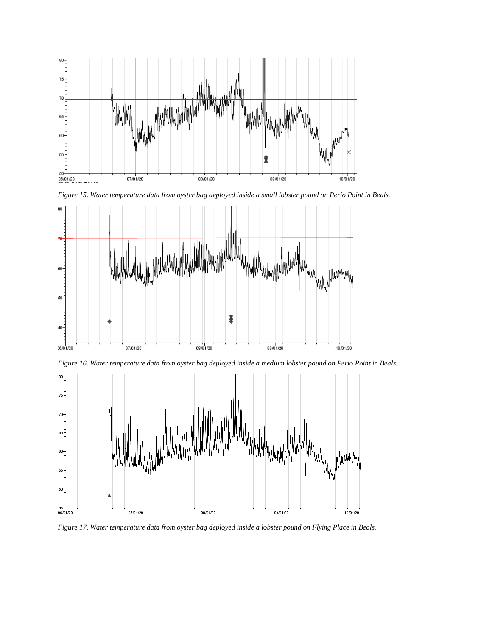

*Figure 15. Water temperature data from oyster bag deployed inside a small lobster pound on Perio Point in Beals.*



*Figure 16. Water temperature data from oyster bag deployed inside a medium lobster pound on Perio Point in Beals.*



*Figure 17. Water temperature data from oyster bag deployed inside a lobster pound on Flying Place in Beals.*